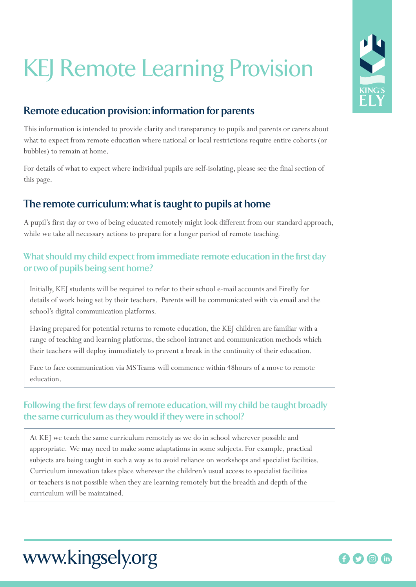# KEJ Remote Learning Provision

# **Remote education provision: information for parents**

This information is intended to provide clarity and transparency to pupils and parents or carers about what to expect from remote education where national or local restrictions require entire cohorts (or bubbles) to remain at home.

For details of what to expect where individual pupils are self-isolating, please see the final section of this page.

## **The remote curriculum: what is taught to pupils at home**

A pupil's first day or two of being educated remotely might look different from our standard approach, while we take all necessary actions to prepare for a longer period of remote teaching.

### **What should my child expect from immediate remote education in the first day or two of pupils being sent home?**

Initially, KEJ students will be required to refer to their school e-mail accounts and Firefly for details of work being set by their teachers. Parents will be communicated with via email and the school's digital communication platforms.

Having prepared for potential returns to remote education, the KEJ children are familiar with a range of teaching and learning platforms, the school intranet and communication methods which their teachers will deploy immediately to prevent a break in the continuity of their education.

Face to face communication via MS Teams will commence within 48hours of a move to remote education.

### **Following the first few days of remote education, will my child be taught broadly the same curriculum as they would if they were in school?**

At KEJ we teach the same curriculum remotely as we do in school wherever possible and appropriate. We may need to make some adaptations in some subjects. For example, practical subjects are being taught in such a way as to avoid reliance on workshops and specialist facilities. Curriculum innovation takes place wherever the children's usual access to specialist facilities or teachers is not possible when they are learning remotely but the breadth and depth of the curriculum will be maintained.





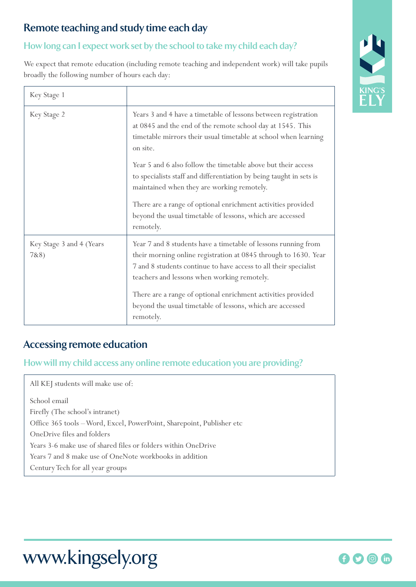# **Remote teaching and study time each day**

### **How long can I expect work set by the school to take my child each day?**

We expect that remote education (including remote teaching and independent work) will take pupils broadly the following number of hours each day:

| Key Stage 1                      |                                                                                                                                                                                                                                                      |
|----------------------------------|------------------------------------------------------------------------------------------------------------------------------------------------------------------------------------------------------------------------------------------------------|
| Key Stage 2                      | Years 3 and 4 have a timetable of lessons between registration<br>at 0845 and the end of the remote school day at 1545. This<br>timetable mirrors their usual timetable at school when learning<br>on site.                                          |
|                                  | Year 5 and 6 also follow the timetable above but their access<br>to specialists staff and differentiation by being taught in sets is<br>maintained when they are working remotely.                                                                   |
|                                  | There are a range of optional enrichment activities provided<br>beyond the usual timetable of lessons, which are accessed<br>remotely.                                                                                                               |
| Key Stage 3 and 4 (Years<br>7&8) | Year 7 and 8 students have a timetable of lessons running from<br>their morning online registration at 0845 through to 1630. Year<br>7 and 8 students continue to have access to all their specialist<br>teachers and lessons when working remotely. |
|                                  | There are a range of optional enrichment activities provided<br>beyond the usual timetable of lessons, which are accessed<br>remotely.                                                                                                               |

### **Accessing remote education**

**How will my child access any online remote education you are providing?**

All KEJ students will make use of: School email Firefly (The school's intranet) Office 365 tools – Word, Excel, PowerPoint, Sharepoint, Publisher etc OneDrive files and folders Years 3-6 make use of shared files or folders within OneDrive Years 7 and 8 make use of OneNote workbooks in addition Century Tech for all year groups



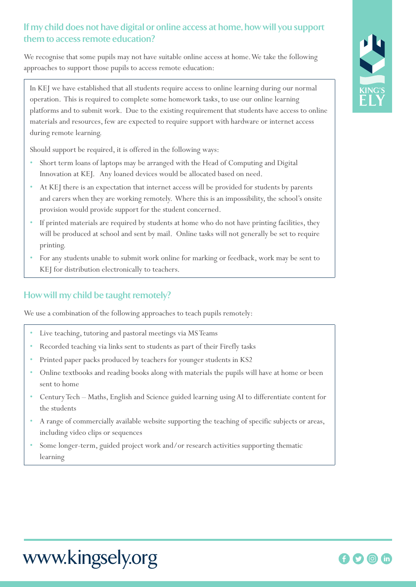### **If my child does not have digital or online access at home, how will you support them to access remote education?**

We recognise that some pupils may not have suitable online access at home. We take the following approaches to support those pupils to access remote education:

In KEJ we have established that all students require access to online learning during our normal operation. This is required to complete some homework tasks, to use our online learning platforms and to submit work. Due to the existing requirement that students have access to online materials and resources, few are expected to require support with hardware or internet access during remote learning.

Should support be required, it is offered in the following ways:

- Short term loans of laptops may be arranged with the Head of Computing and Digital Innovation at KEJ. Any loaned devices would be allocated based on need.
- At KEJ there is an expectation that internet access will be provided for students by parents and carers when they are working remotely. Where this is an impossibility, the school's onsite provision would provide support for the student concerned.
- If printed materials are required by students at home who do not have printing facilities, they will be produced at school and sent by mail. Online tasks will not generally be set to require printing.
- For any students unable to submit work online for marking or feedback, work may be sent to KEJ for distribution electronically to teachers.

#### **How will my child be taught remotely?**

We use a combination of the following approaches to teach pupils remotely:

- Live teaching, tutoring and pastoral meetings via MS Teams
- Recorded teaching via links sent to students as part of their Firefly tasks
- Printed paper packs produced by teachers for younger students in KS2
- Online textbooks and reading books along with materials the pupils will have at home or been sent to home
- Century Tech Maths, English and Science guided learning using AI to differentiate content for the students
- A range of commercially available website supporting the teaching of specific subjects or areas, including video clips or sequences
- Some longer-term, guided project work and/or research activities supporting thematic learning



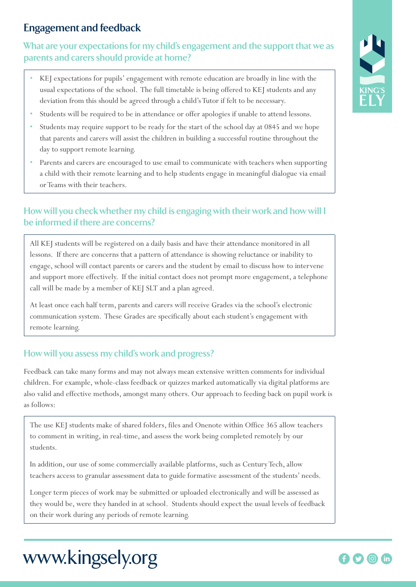## **Engagement and feedback**

### **What are your expectations for my child's engagement and the support that we as parents and carers should provide at home?**

- KEJ expectations for pupils' engagement with remote education are broadly in line with the usual expectations of the school. The full timetable is being offered to KEJ students and any deviation from this should be agreed through a child's Tutor if felt to be necessary.
- Students will be required to be in attendance or offer apologies if unable to attend lessons.
- Students may require support to be ready for the start of the school day at 0845 and we hope that parents and carers will assist the children in building a successful routine throughout the day to support remote learning.
- Parents and carers are encouraged to use email to communicate with teachers when supporting a child with their remote learning and to help students engage in meaningful dialogue via email or Teams with their teachers.

### **How will you check whether my child is engaging with their work and how will I be informed if there are concerns?**

All KEJ students will be registered on a daily basis and have their attendance monitored in all lessons. If there are concerns that a pattern of attendance is showing reluctance or inability to engage, school will contact parents or carers and the student by email to discuss how to intervene and support more effectively. If the initial contact does not prompt more engagement, a telephone call will be made by a member of KEJ SLT and a plan agreed.

At least once each half term, parents and carers will receive Grades via the school's electronic communication system. These Grades are specifically about each student's engagement with remote learning.

#### **How will you assess my child's work and progress?**

Feedback can take many forms and may not always mean extensive written comments for individual children. For example, whole-class feedback or quizzes marked automatically via digital platforms are also valid and effective methods, amongst many others. Our approach to feeding back on pupil work is as follows:

The use KEJ students make of shared folders, files and Onenote within Office 365 allow teachers to comment in writing, in real-time, and assess the work being completed remotely by our students.

In addition, our use of some commercially available platforms, such as Century Tech, allow teachers access to granular assessment data to guide formative assessment of the students' needs.

Longer term pieces of work may be submitted or uploaded electronically and will be assessed as they would be, were they handed in at school. Students should expect the usual levels of feedback on their work during any periods of remote learning.